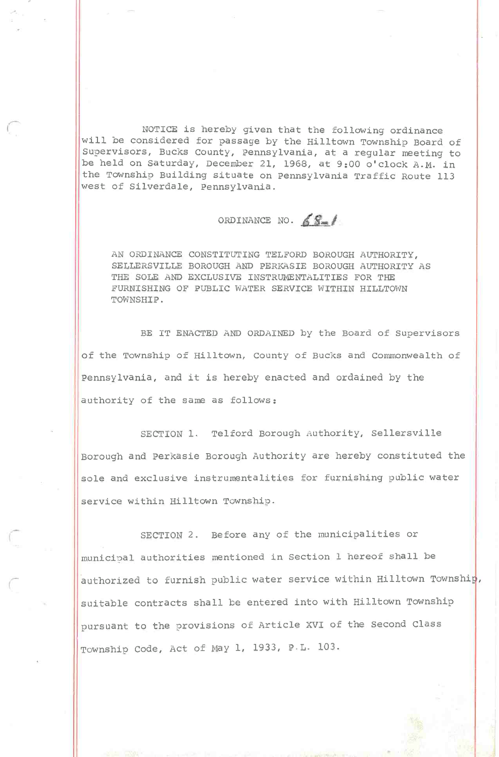NOTICE is hereby given that the following ordinance will be considered for passage by the Hilltown Township Board of Supervisors, Bucks County, Pennsylvania, at a regular meeting to be held on Saturday, December 21, 1968, at 9:00 o'clock A.M. in the Township Building situate on Pennsylvania Traffic Route 113 west of Silverdale, Pennsylvania.

## ORDINANCE NO.  $681$

AN ORDINANCE CONSTITUTING TELFORD BOROUGH AUTHORITY, SELLERSVILLE BOROUGH AND PERKASIE BOROUGH AUTHORITY AS THE SOLE AND EXCLUSIVE INSTRUMENTALITIES FOR THE FURNISHING OF PUBLIC WATER SERVICE WITHIN HILLTOWN TOWNSHIP.

BE IT ENACTED AND ORDAINED by the Board of Supervisors of the Township of Hilltown, County of Bucks and Commonwealth of Pennsylvania, and it is hereby enacted and ordained by the authority of the same as follows:

SECTION 1. Telford Borough Authority, Sellersville Borough and Perkasie Borough Authority are hereby constituted the sole and exclusive instrumentalities for furnishing public water service within Hilltown Township.

SECTION 2. Before any of the municipalities or municipal authorities mentioned in Section 1 hereof shall be authorized to furnish public water service within Hilltown Township, suitable contracts shall be entered into with Hilltown Township pursuant to the provisions of Article XVI of the Second Class Township Code, Act of May 1, 1933, P.L. 103.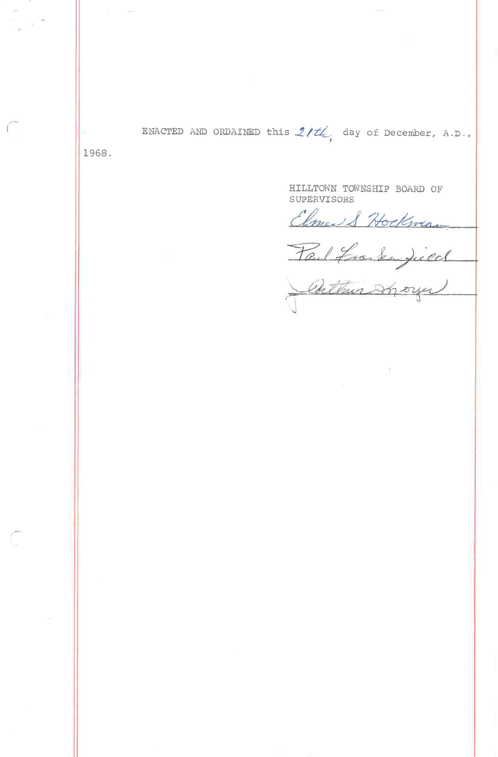ENACTED AND ORDAINED this  $2/tL$  day of December, A.D.,

1968.

HILLTOWN TOWNSHIP BOARD OF SUPERVISORS

Elmed & Hockwan

Tail franken Jued

Cuthur Sport